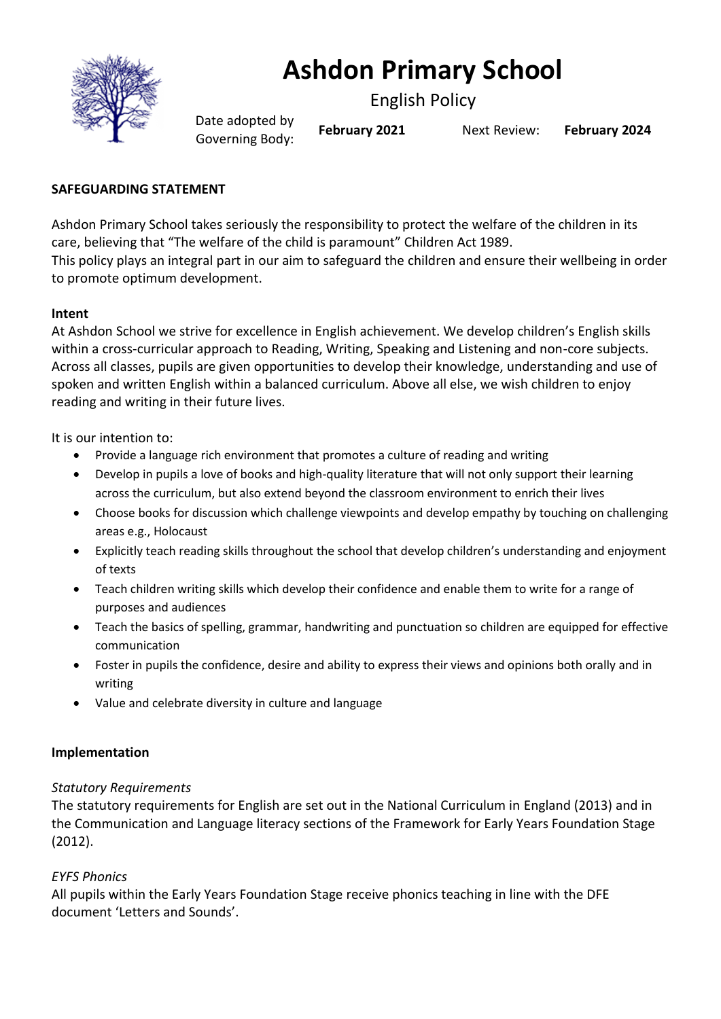

# **Ashdon Primary School**

English Policy

Date adopted by Governing Body: **February <sup>2021</sup>** Next Review: **February <sup>2024</sup>**

# **SAFEGUARDING STATEMENT**

Ashdon Primary School takes seriously the responsibility to protect the welfare of the children in its care, believing that "The welfare of the child is paramount" Children Act 1989. This policy plays an integral part in our aim to safeguard the children and ensure their wellbeing in order to promote optimum development.

# **Intent**

At Ashdon School we strive for excellence in English achievement. We develop children's English skills within a cross-curricular approach to Reading, Writing, Speaking and Listening and non-core subjects. Across all classes, pupils are given opportunities to develop their knowledge, understanding and use of spoken and written English within a balanced curriculum. Above all else, we wish children to enjoy reading and writing in their future lives.

It is our intention to:

- Provide a language rich environment that promotes a culture of reading and writing
- Develop in pupils a love of books and high-quality literature that will not only support their learning across the curriculum, but also extend beyond the classroom environment to enrich their lives
- Choose books for discussion which challenge viewpoints and develop empathy by touching on challenging areas e.g., Holocaust
- Explicitly teach reading skills throughout the school that develop children's understanding and enjoyment of texts
- Teach children writing skills which develop their confidence and enable them to write for a range of purposes and audiences
- Teach the basics of spelling, grammar, handwriting and punctuation so children are equipped for effective communication
- Foster in pupils the confidence, desire and ability to express their views and opinions both orally and in writing
- Value and celebrate diversity in culture and language

# **Implementation**

# *Statutory Requirements*

The statutory requirements for English are set out in the National Curriculum in England (2013) and in the Communication and Language literacy sections of the Framework for Early Years Foundation Stage (2012).

# *EYFS Phonics*

All pupils within the Early Years Foundation Stage receive phonics teaching in line with the DFE document 'Letters and Sounds'.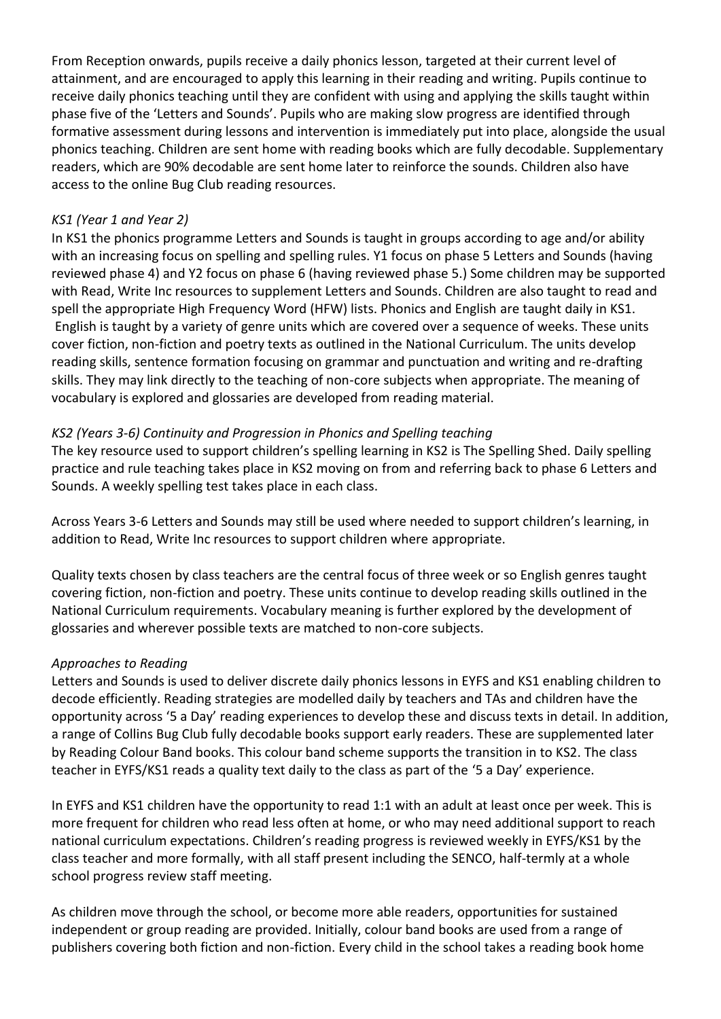From Reception onwards, pupils receive a daily phonics lesson, targeted at their current level of attainment, and are encouraged to apply this learning in their reading and writing. Pupils continue to receive daily phonics teaching until they are confident with using and applying the skills taught within phase five of the 'Letters and Sounds'. Pupils who are making slow progress are identified through formative assessment during lessons and intervention is immediately put into place, alongside the usual phonics teaching. Children are sent home with reading books which are fully decodable. Supplementary readers, which are 90% decodable are sent home later to reinforce the sounds. Children also have access to the online Bug Club reading resources.

#### *KS1 (Year 1 and Year 2)*

In KS1 the phonics programme Letters and Sounds is taught in groups according to age and/or ability with an increasing focus on spelling and spelling rules. Y1 focus on phase 5 Letters and Sounds (having reviewed phase 4) and Y2 focus on phase 6 (having reviewed phase 5.) Some children may be supported with Read, Write Inc resources to supplement Letters and Sounds. Children are also taught to read and spell the appropriate High Frequency Word (HFW) lists. Phonics and English are taught daily in KS1. English is taught by a variety of genre units which are covered over a sequence of weeks. These units cover fiction, non-fiction and poetry texts as outlined in the National Curriculum. The units develop reading skills, sentence formation focusing on grammar and punctuation and writing and re-drafting skills. They may link directly to the teaching of non-core subjects when appropriate. The meaning of vocabulary is explored and glossaries are developed from reading material.

#### *KS2 (Years 3-6) Continuity and Progression in Phonics and Spelling teaching*

The key resource used to support children's spelling learning in KS2 is The Spelling Shed. Daily spelling practice and rule teaching takes place in KS2 moving on from and referring back to phase 6 Letters and Sounds. A weekly spelling test takes place in each class.

Across Years 3-6 Letters and Sounds may still be used where needed to support children's learning, in addition to Read, Write Inc resources to support children where appropriate.

Quality texts chosen by class teachers are the central focus of three week or so English genres taught covering fiction, non-fiction and poetry. These units continue to develop reading skills outlined in the National Curriculum requirements. Vocabulary meaning is further explored by the development of glossaries and wherever possible texts are matched to non-core subjects.

#### *Approaches to Reading*

Letters and Sounds is used to deliver discrete daily phonics lessons in EYFS and KS1 enabling children to decode efficiently. Reading strategies are modelled daily by teachers and TAs and children have the opportunity across '5 a Day' reading experiences to develop these and discuss texts in detail. In addition, a range of Collins Bug Club fully decodable books support early readers. These are supplemented later by Reading Colour Band books. This colour band scheme supports the transition in to KS2. The class teacher in EYFS/KS1 reads a quality text daily to the class as part of the '5 a Day' experience.

In EYFS and KS1 children have the opportunity to read 1:1 with an adult at least once per week. This is more frequent for children who read less often at home, or who may need additional support to reach national curriculum expectations. Children's reading progress is reviewed weekly in EYFS/KS1 by the class teacher and more formally, with all staff present including the SENCO, half-termly at a whole school progress review staff meeting.

As children move through the school, or become more able readers, opportunities for sustained independent or group reading are provided. Initially, colour band books are used from a range of publishers covering both fiction and non-fiction. Every child in the school takes a reading book home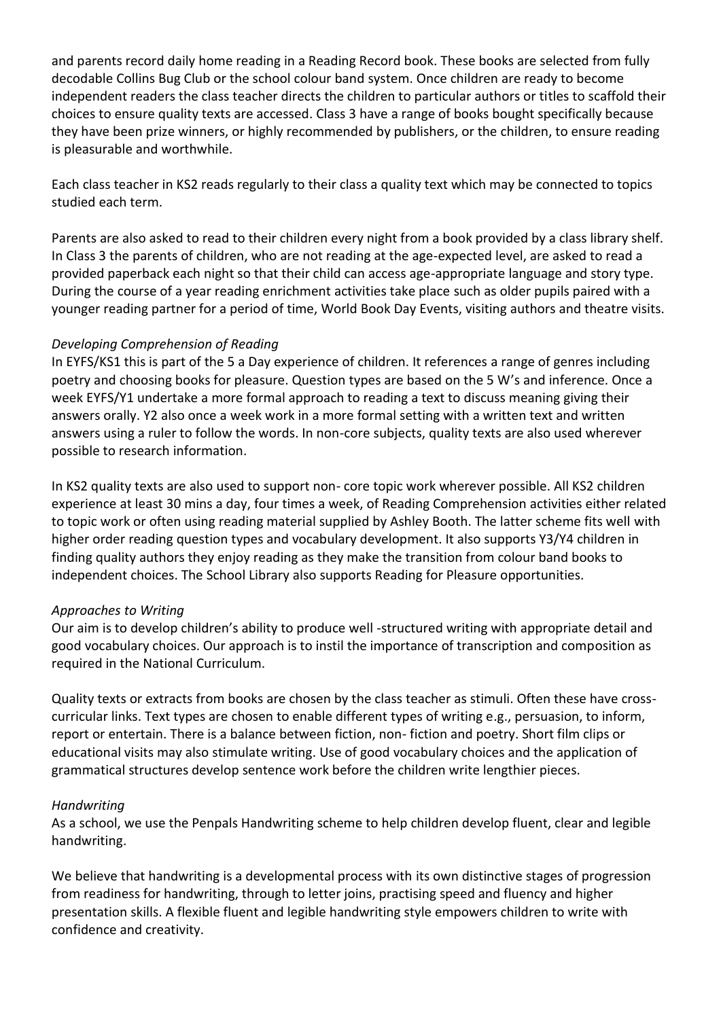and parents record daily home reading in a Reading Record book. These books are selected from fully decodable Collins Bug Club or the school colour band system. Once children are ready to become independent readers the class teacher directs the children to particular authors or titles to scaffold their choices to ensure quality texts are accessed. Class 3 have a range of books bought specifically because they have been prize winners, or highly recommended by publishers, or the children, to ensure reading is pleasurable and worthwhile.

Each class teacher in KS2 reads regularly to their class a quality text which may be connected to topics studied each term.

Parents are also asked to read to their children every night from a book provided by a class library shelf. In Class 3 the parents of children, who are not reading at the age-expected level, are asked to read a provided paperback each night so that their child can access age-appropriate language and story type. During the course of a year reading enrichment activities take place such as older pupils paired with a younger reading partner for a period of time, World Book Day Events, visiting authors and theatre visits.

#### *Developing Comprehension of Reading*

In EYFS/KS1 this is part of the 5 a Day experience of children. It references a range of genres including poetry and choosing books for pleasure. Question types are based on the 5 W's and inference. Once a week EYFS/Y1 undertake a more formal approach to reading a text to discuss meaning giving their answers orally. Y2 also once a week work in a more formal setting with a written text and written answers using a ruler to follow the words. In non-core subjects, quality texts are also used wherever possible to research information.

In KS2 quality texts are also used to support non- core topic work wherever possible. All KS2 children experience at least 30 mins a day, four times a week, of Reading Comprehension activities either related to topic work or often using reading material supplied by Ashley Booth. The latter scheme fits well with higher order reading question types and vocabulary development. It also supports Y3/Y4 children in finding quality authors they enjoy reading as they make the transition from colour band books to independent choices. The School Library also supports Reading for Pleasure opportunities.

#### *Approaches to Writing*

Our aim is to develop children's ability to produce well -structured writing with appropriate detail and good vocabulary choices. Our approach is to instil the importance of transcription and composition as required in the National Curriculum.

Quality texts or extracts from books are chosen by the class teacher as stimuli. Often these have crosscurricular links. Text types are chosen to enable different types of writing e.g., persuasion, to inform, report or entertain. There is a balance between fiction, non- fiction and poetry. Short film clips or educational visits may also stimulate writing. Use of good vocabulary choices and the application of grammatical structures develop sentence work before the children write lengthier pieces.

# *Handwriting*

As a school, we use the Penpals Handwriting scheme to help children develop fluent, clear and legible handwriting.

We believe that handwriting is a developmental process with its own distinctive stages of progression from readiness for handwriting, through to letter joins, practising speed and fluency and higher presentation skills. A flexible fluent and legible handwriting style empowers children to write with confidence and creativity.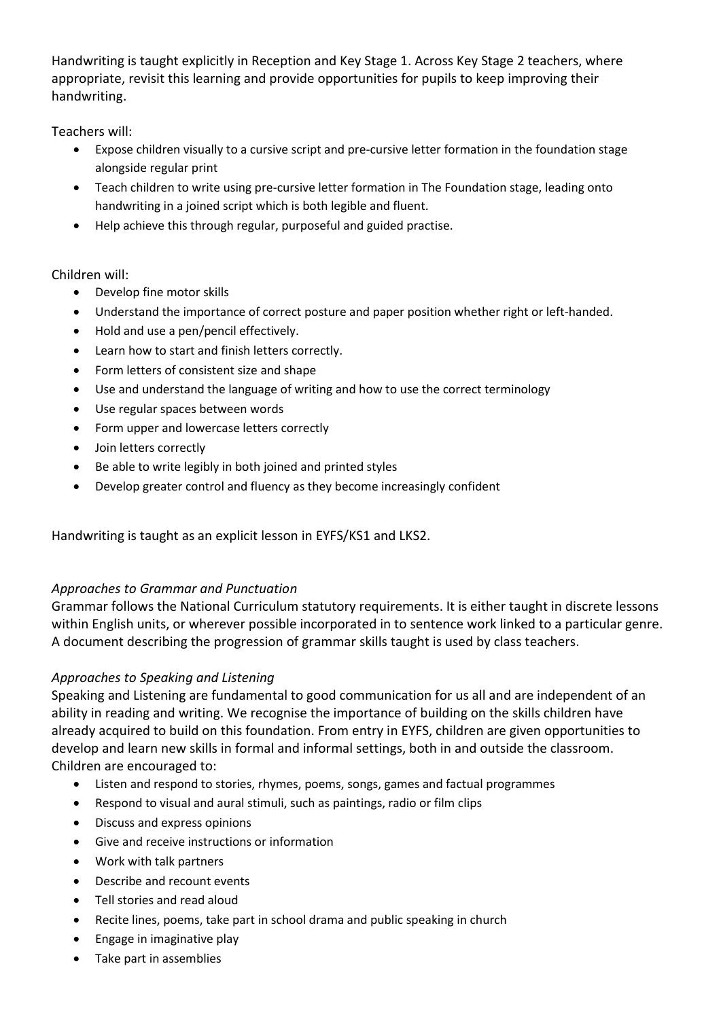Handwriting is taught explicitly in Reception and Key Stage 1. Across Key Stage 2 teachers, where appropriate, revisit this learning and provide opportunities for pupils to keep improving their handwriting.

Teachers will:

- Expose children visually to a cursive script and pre-cursive letter formation in the foundation stage alongside regular print
- Teach children to write using pre-cursive letter formation in The Foundation stage, leading onto handwriting in a joined script which is both legible and fluent.
- Help achieve this through regular, purposeful and guided practise.

# Children will:

- Develop fine motor skills
- Understand the importance of correct posture and paper position whether right or left-handed.
- Hold and use a pen/pencil effectively.
- Learn how to start and finish letters correctly.
- Form letters of consistent size and shape
- Use and understand the language of writing and how to use the correct terminology
- Use regular spaces between words
- Form upper and lowercase letters correctly
- Join letters correctly
- Be able to write legibly in both joined and printed styles
- Develop greater control and fluency as they become increasingly confident

Handwriting is taught as an explicit lesson in EYFS/KS1 and LKS2.

# *Approaches to Grammar and Punctuation*

Grammar follows the National Curriculum statutory requirements. It is either taught in discrete lessons within English units, or wherever possible incorporated in to sentence work linked to a particular genre. A document describing the progression of grammar skills taught is used by class teachers.

# *Approaches to Speaking and Listening*

Speaking and Listening are fundamental to good communication for us all and are independent of an ability in reading and writing. We recognise the importance of building on the skills children have already acquired to build on this foundation. From entry in EYFS, children are given opportunities to develop and learn new skills in formal and informal settings, both in and outside the classroom. Children are encouraged to:

- Listen and respond to stories, rhymes, poems, songs, games and factual programmes
- Respond to visual and aural stimuli, such as paintings, radio or film clips
- Discuss and express opinions
- Give and receive instructions or information
- Work with talk partners
- Describe and recount events
- Tell stories and read aloud
- Recite lines, poems, take part in school drama and public speaking in church
- Engage in imaginative play
- Take part in assemblies